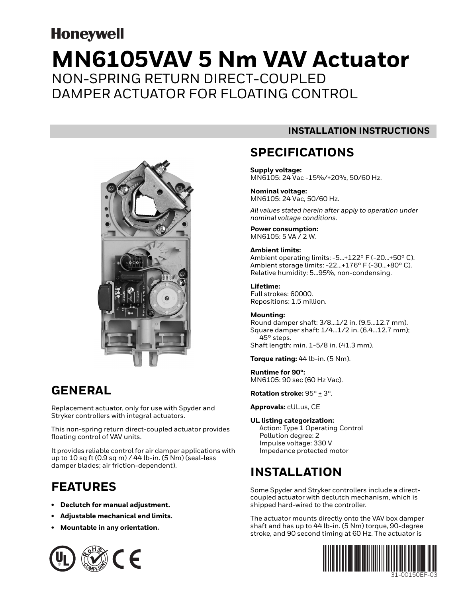# **Honeywell MN6105VAV 5 Nm VAV Actuator** NON-SPRING RETURN DIRECT-COUPLED DAMPER ACTUATOR FOR FLOATING CONTROL



### **GENERAL**

Replacement actuator, only for use with Spyder and Stryker controllers with integral actuators.

This non-spring return direct-coupled actuator provides floating control of VAV units.

It provides reliable control for air damper applications with up to 10 sq ft (0.9 sq m) / 44 lb-in. (5 Nm) (seal-less damper blades; air friction-dependent).

### **FEATURES**

- **Declutch for manual adjustment.**
- **Adjustable mechanical end limits.**
- **Mountable in any orientation.**



### **INSTALLATION INSTRUCTIONS**

### **SPECIFICATIONS**

**Supply voltage:** MN6105: 24 Vac -15%/+20%, 50/60 Hz.

#### **Nominal voltage:** MN6105: 24 Vac, 50/60 Hz.

*All values stated herein after apply to operation under nominal voltage conditions.*

**Power consumption:** MN6105: 5 VA / 2 W.

### **Ambient limits:**

Ambient operating limits: -5...+122° F (-20...+50° C). Ambient storage limits: -22...+176° F (-30...+80° C). Relative humidity: 5...95%, non-condensing.

### **Lifetime:**

Full strokes: 60000. Repositions: 1.5 million.

### **Mounting:**

Round damper shaft: 3/8…1/2 in. (9.5...12.7 mm). Square damper shaft: 1/4…1/2 in. (6.4...12.7 mm); 45° steps. Shaft length: min. 1-5/8 in. (41.3 mm).

**Torque rating:** 44 lb-in. (5 Nm).

**Runtime for 90°:** MN6105: 90 sec (60 Hz Vac).

**Rotation stroke:** 95° + 3°.

**Approvals:** cULus, CE

### **UL listing categorization:**

Action: Type 1 Operating Control Pollution degree: 2 Impulse voltage: 330 V Impedance protected motor

### **INSTALLATION**

Some Spyder and Stryker controllers include a directcoupled actuator with declutch mechanism, which is shipped hard-wired to the controller.

The actuator mounts directly onto the VAV box damper shaft and has up to 44 lb-in. (5 Nm) torque, 90-degree stroke, and 90 second timing at 60 Hz. The actuator is

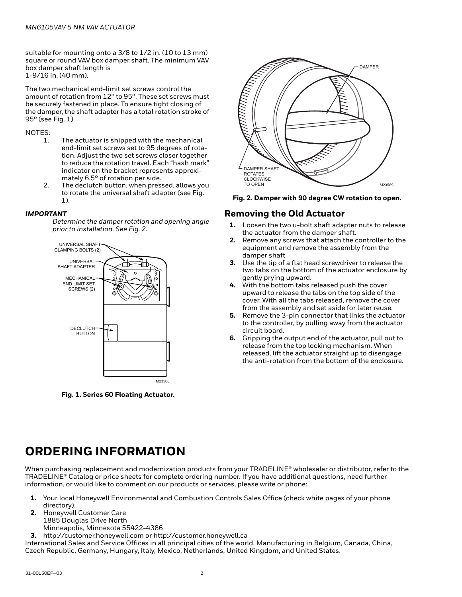suitable for mounting onto a 3/8 to 1/2 in. (10 to 13 mm) square or round VAV box damper shaft. The minimum VAV box damper shaft length is 1-9/16 in. (40 mm).

The two mechanical end-limit set screws control the amount of rotation from 12° to 95°. These set screws must be securely fastened in place. To ensure tight closing of the damper, the shaft adapter has a total rotation stroke of 95° (see Fig. 1).

### NOTES:

- 1. The actuator is shipped with the mechanical end-limit set screws set to 95 degrees of rotation. Adjust the two set screws closer together to reduce the rotation travel. Each "hash mark" indicator on the bracket represents approximately 6.5° of rotation per side.
- 2. The declutch button, when pressed, allows you to rotate the universal shaft adapter (see Fig. 1).

### *IMPORTANT*

*Determine the damper rotation and opening angle prior to installation. See Fig. 2.*



**Fig. 1. Series 60 Floating Actuator.**



**Fig. 2. Damper with 90 degree CW rotation to open.**

### **Removing the Old Actuator**

- **1.** Loosen the two u-bolt shaft adapter nuts to release the actuator from the damper shaft.
- **2.** Remove any screws that attach the controller to the equipment and remove the assembly from the damper shaft.
- **3.** Use the tip of a flat head screwdriver to release the two tabs on the bottom of the actuator enclosure by gently prying upward.
- **4.** With the bottom tabs released push the cover upward to release the tabs on the top side of the cover. With all the tabs released, remove the cover from the assembly and set aside for later reuse.
- **5.** Remove the 3-pin connector that links the actuator to the controller, by pulling away from the actuator circuit board.
- **6.** Gripping the output end of the actuator, pull out to release from the top locking mechanism. When released, lift the actuator straight up to disengage the anti-rotation from the bottom of the enclosure.

### **ORDERING INFORMATION**

When purchasing replacement and modernization products from your TRADELINE® wholesaler or distributor, refer to the TRADELINE® Catalog or price sheets for complete ordering number. If you have additional questions, need further information, or would like to comment on our products or services, please write or phone:

- **1.** Your local Honeywell Environmental and Combustion Controls Sales Office (check white pages of your phone directory).
- **2.** Honeywell Customer Care 1885 Douglas Drive North
	- Minneapolis, Minnesota 55422-4386
- **3.** http://customer.honeywell.com or http://customer.honeywell.ca

International Sales and Service Offices in all principal cities of the world. Manufacturing in Belgium, Canada, China, Czech Republic, Germany, Hungary, Italy, Mexico, Netherlands, United Kingdom, and United States.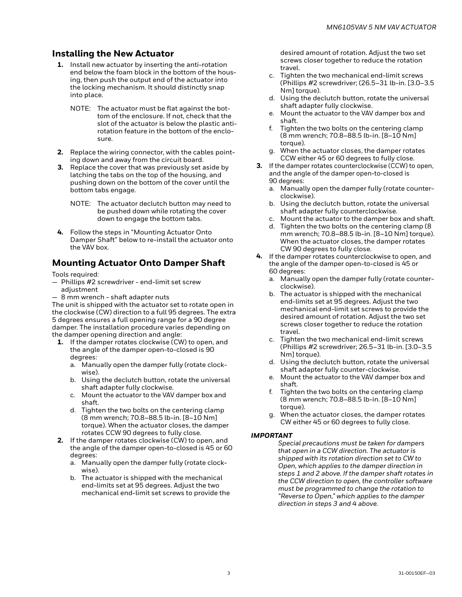### **Installing the New Actuator**

- **1.** Install new actuator by inserting the anti-rotation end below the foam block in the bottom of the housing, then push the output end of the actuator into the locking mechanism. It should distinctly snap into place.
	- NOTE: The actuator must be flat against the bottom of the enclosure. If not, check that the slot of the actuator is below the plastic antirotation feature in the bottom of the enclosure.
- **2.** Replace the wiring connector, with the cables pointing down and away from the circuit board.
- **3.** Replace the cover that was previously set aside by latching the tabs on the top of the housing, and pushing down on the bottom of the cover until the bottom tabs engage.
	- NOTE: The actuator declutch button may need to be pushed down while rotating the cover down to engage the bottom tabs.
- **4.** Follow the steps in "Mounting Actuator Onto Damper Shaft" below to re-install the actuator onto the VAV box.

### **Mounting Actuator Onto Damper Shaft**

Tools required:

- Phillips #2 screwdriver end-limit set screw adjustment
- 8 mm wrench shaft adapter nuts

The unit is shipped with the actuator set to rotate open in the clockwise (CW) direction to a full 95 degrees. The extra 5 degrees ensures a full opening range for a 90 degree damper. The installation procedure varies depending on the damper opening direction and angle:

- **1.** If the damper rotates clockwise (CW) to open, and the angle of the damper open-to-closed is 90 degrees:
	- a. Manually open the damper fully (rotate clockwise).
	- b. Using the declutch button, rotate the universal shaft adapter fully clockwise.
	- c. Mount the actuator to the VAV damper box and shaft.
	- d. Tighten the two bolts on the centering clamp (8 mm wrench; 70.8–88.5 lb-in. [8–10 Nm] torque). When the actuator closes, the damper rotates CCW 90 degrees to fully close.
- **2.** If the damper rotates clockwise (CW) to open, and the angle of the damper open-to-closed is 45 or 60 degrees:
	- a. Manually open the damper fully (rotate clockwise).
	- b. The actuator is shipped with the mechanical end-limits set at 95 degrees. Adjust the two mechanical end-limit set screws to provide the

desired amount of rotation. Adjust the two set screws closer together to reduce the rotation travel.

- c. Tighten the two mechanical end-limit screws (Phillips #2 screwdriver; (26.5–31 lb-in. [3.0–3.5 Nm<sub>1</sub> torque).
- d. Using the declutch button, rotate the universal shaft adapter fully clockwise.
- e. Mount the actuator to the VAV damper box and shaft.
- f. Tighten the two bolts on the centering clamp (8 mm wrench; 70.8–88.5 lb-in. [8–10 Nm] torque).
- g. When the actuator closes, the damper rotates CCW either 45 or 60 degrees to fully close.
- **3.** If the damper rotates counterclockwise (CCW) to open, and the angle of the damper open-to-closed is 90 degrees:
	- a. Manually open the damper fully (rotate counterclockwise).
	- b. Using the declutch button, rotate the universal shaft adapter fully counterclockwise.
	- c. Mount the actuator to the damper box and shaft.
	- d. Tighten the two bolts on the centering clamp (8 mm wrench; 70.8–88.5 lb-in. [8–10 Nm] torque). When the actuator closes, the damper rotates CW 90 degrees to fully close.
- **4.** If the damper rotates counterclockwise to open, and the angle of the damper open-to-closed is 45 or 60 degrees:
	- a. Manually open the damper fully (rotate counterclockwise).
	- b. The actuator is shipped with the mechanical end-limits set at 95 degrees. Adjust the two mechanical end-limit set screws to provide the desired amount of rotation. Adjust the two set screws closer together to reduce the rotation travel.
	- c. Tighten the two mechanical end-limit screws (Phillips #2 screwdriver; 26.5–31 lb-in. [3.0–3.5 Nm<sub>1</sub> torque).
	- d. Using the declutch button, rotate the universal shaft adapter fully counter-clockwise.
	- e. Mount the actuator to the VAV damper box and shaft.
	- f. Tighten the two bolts on the centering clamp (8 mm wrench; 70.8–88.5 lb-in. [8–10 Nm] torque).
	- g. When the actuator closes, the damper rotates CW either 45 or 60 degrees to fully close.

### *IMPORTANT*

*Special precautions must be taken for dampers that open in a CCW direction. The actuator is shipped with its rotation direction set to CW to Open, which applies to the damper direction in steps 1 and 2 above. If the damper shaft rotates in the CCW direction to open, the controller software must be programmed to change the rotation to "Reverse to Open," which applies to the damper direction in steps 3 and 4 above.*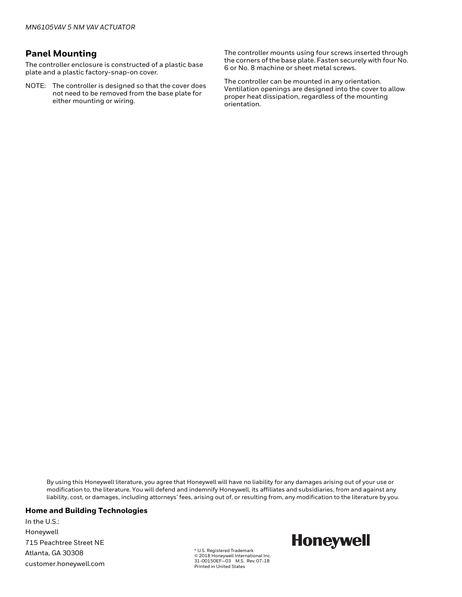### **Panel Mounting**

The controller enclosure is constructed of a plastic base plate and a plastic factory-snap-on cover.

NOTE: The controller is designed so that the cover does not need to be removed from the base plate for either mounting or wiring.

The controller mounts using four screws inserted through the corners of the base plate. Fasten securely with four No. 6 or No. 8 machine or sheet metal screws.

The controller can be mounted in any orientation. Ventilation openings are designed into the cover to allow proper heat dissipation, regardless of the mounting orientation.

By using this Honeywell literature, you agree that Honeywell will have no liability for any damages arising out of your use or modification to, the literature. You will defend and indemnify Honeywell, its affiliates and subsidiaries, from and against any liability, cost, or damages, including attorneys' fees, arising out of, or resulting from, any modification to the literature by you.

#### **Home and Building Technologies**

In the U.S.: Honeywell 715 Peachtree Street NE Atlanta, GA 30308 customer.honeywell.com

® U.S. Registered Trademark © 2018 Honeywell International Inc. 31-00150EF—03 M.S. Rev. 07-18 Printed in United States

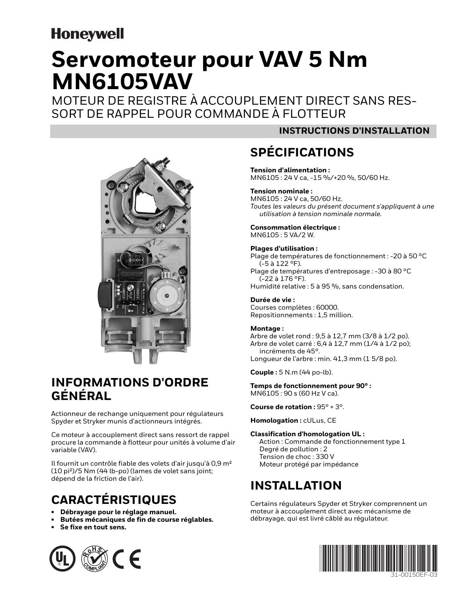# **Honeywell**

# **Servomoteur pour VAV 5 Nm MN6105VAV**

MOTEUR DE REGISTRE À ACCOUPLEMENT DIRECT SANS RES-SORT DE RAPPEL POUR COMMANDE À FLOTTEUR



### **INFORMATIONS D'ORDRE GÉNÉRAL**

Actionneur de rechange uniquement pour régulateurs Spyder et Stryker munis d'actionneurs intégrés.

Ce moteur à accouplement direct sans ressort de rappel procure la commande à flotteur pour unités à volume d'air variable (VAV).

Il fournit un contrôle fiable des volets d'air jusqu'à 0,9 m² (10 pi²)/5 Nm (44 lb-po) (lames de volet sans joint; dépend de la friction de l'air).

### **CARACTÉRISTIQUES**

- **Débrayage pour le réglage manuel.**
- **Butées mécaniques de fin de course réglables.**
- **Se fixe en tout sens.**



### **INSTRUCTIONS D'INSTALLATION**

## **SPÉCIFICATIONS**

**Tension d'alimentation :** MN6105 : 24 V ca, -15 %/+20 %, 50/60 Hz.

### **Tension nominale :**

MN6105 : 24 V ca, 50/60 Hz. *Toutes les valeurs du présent document s'appliquent à une utilisation à tension nominale normale.*

**Consommation électrique :** MN6105 : 5 VA/2 W.

#### **Plages d'utilisation :**

Plage de températures de fonctionnement : -20 à 50 °C (-5 à 122 °F). Plage de températures d'entreposage : -30 à 80 °C (-22 à 176 °F).

Humidité relative : 5 à 95 %, sans condensation.

### **Durée de vie :**

Courses complètes : 60000. Repositionnements : 1,5 million.

### **Montage :**

Arbre de volet rond : 9,5 à 12,7 mm (3/8 à 1/2 po). Arbre de volet carré : 6,4 à 12,7 mm (1/4 à 1/2 po); incréments de 45°. Longueur de l'arbre : min. 41,3 mm (1 5/8 po).

**Couple :** 5 N.m (44 po-lb).

**Temps de fonctionnement pour 90° :** MN6105 : 90 s (60 Hz V ca).

**Course de rotation :** 95° + 3°.

**Homologation :** cULus, CE

### **Classification d'homologation UL :**

Action : Commande de fonctionnement type 1 Degré de pollution : 2 Tension de choc : 330 V Moteur protégé par impédance

### **INSTALLATION**

Certains régulateurs Spyder et Stryker comprennent un moteur à accouplement direct avec mécanisme de débrayage, qui est livré câblé au régulateur.

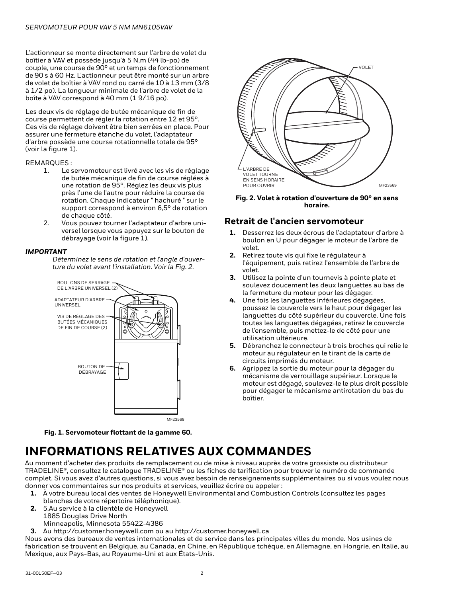L'actionneur se monte directement sur l'arbre de volet du boîtier à VAV et possède jusqu'à 5 N.m (44 lb-po) de couple, une course de 90° et un temps de fonctionnement de 90 s à 60 Hz. L'actionneur peut être monté sur un arbre de volet de boîtier à VAV rond ou carré de 10 à 13 mm (3/8 à 1/2 po). La longueur minimale de l'arbre de volet de la boîte à VAV correspond à 40 mm (1 9/16 po).

Les deux vis de réglage de butée mécanique de fin de course permettent de régler la rotation entre 12 et 95°. Ces vis de réglage doivent être bien serrées en place. Pour assurer une fermeture étanche du volet, l'adaptateur d'arbre possède une course rotationnelle totale de 95° (voir la figure 1).

#### REMARQUES :

- 1. Le servomoteur est livré avec les vis de réglage de butée mécanique de fin de course réglées à une rotation de 95°. Réglez les deux vis plus près l'une de l'autre pour réduire la course de rotation. Chaque indicateur " hachuré " sur le support correspond à environ 6,5° de rotation de chaque côté.
- 2. Vous pouvez tourner l'adaptateur d'arbre universel lorsque vous appuyez sur le bouton de débrayage (voir la figure 1).

#### *IMPORTANT*

*Déterminez le sens de rotation et l'angle d'ouverture du volet avant l'installation. Voir la Fig. 2.*





### **INFORMATIONS RELATIVES AUX COMMANDES**

Au moment d'acheter des produits de remplacement ou de mise à niveau auprès de votre grossiste ou distributeur TRADELINE®, consultez le catalogue TRADELINE® ou les fiches de tarification pour trouver le numéro de commande complet. Si vous avez d'autres questions, si vous avez besoin de renseignements supplémentaires ou si vous voulez nous donner vos commentaires sur nos produits et services, veuillez écrire ou appeler :

- **1.** À votre bureau local des ventes de Honeywell Environmental and Combustion Controls (consultez les pages blanches de votre répertoire téléphonique).
- **2.** 5.Au service à la clientèle de Honeywell
- 1885 Douglas Drive North Minneapolis, Minnesota 55422-4386
- **3.** Au http://customer.honeywell.com ou au http://customer.honeywell.ca

Nous avons des bureaux de ventes internationales et de service dans les principales villes du monde. Nos usines de fabrication se trouvent en Belgique, au Canada, en Chine, en République tchèque, en Allemagne, en Hongrie, en Italie, au Mexique, aux Pays-Bas, au Royaume-Uni et aux États-Unis.



**Fig. 2. Volet à rotation d'ouverture de 90° en sens horaire.**

### **Retrait de l'ancien servomoteur**

- **1.** Desserrez les deux écrous de l'adaptateur d'arbre à boulon en U pour dégager le moteur de l'arbre de volet.
- **2.** Retirez toute vis qui fixe le régulateur à l'équipement, puis retirez l'ensemble de l'arbre de volet.
- **3.** Utilisez la pointe d'un tournevis à pointe plate et soulevez doucement les deux languettes au bas de la fermeture du moteur pour les dégager.
- **4.** Une fois les languettes inférieures dégagées, poussez le couvercle vers le haut pour dégager les languettes du côté supérieur du couvercle. Une fois toutes les languettes dégagées, retirez le couvercle de l'ensemble, puis mettez-le de côté pour une utilisation ultérieure.
- **5.** Débranchez le connecteur à trois broches qui relie le moteur au régulateur en le tirant de la carte de circuits imprimés du moteur.
- **6.** Agrippez la sortie du moteur pour la dégager du mécanisme de verrouillage supérieur. Lorsque le moteur est dégagé, soulevez-le le plus droit possible pour dégager le mécanisme antirotation du bas du boîtier.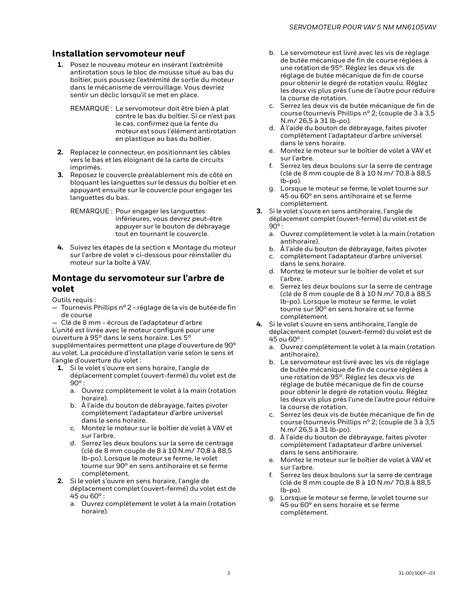### **Installation servomoteur neuf**

**1.** Posez le nouveau moteur en insérant l'extrémité antirotation sous le bloc de mousse situé au bas du boîtier, puis poussez l'extrémité de sortie du moteur dans le mécanisme de verrouillage. Vous devriez sentir un déclic lorsqu'il se met en place.

REMARQUE : Le servomoteur doit être bien à plat contre le bas du boîtier. Si ce n'est pas le cas, confirmez que la fente du moteur est sous l'élément antirotation en plastique au bas du boîtier.

- **2.** Replacez le connecteur, en positionnant les câbles vers le bas et les éloignant de la carte de circuits imprimés.
- **3.** Reposez le couvercle préalablement mis de côté en bloquant les languettes sur le dessus du boîtier et en appuyant ensuite sur le couvercle pour engager les languettes du bas.

REMARQUE : Pour engager les languettes inférieures, vous devrez peut-être appuyer sur le bouton de débrayage tout en tournant le couvercle.

**4.** Suivez les étapes de la section « Montage du moteur sur l'arbre de volet » ci-dessous pour réinstaller du moteur sur la boîte à VAV.

### **Montage du servomoteur sur l'arbre de volet**

Outils requis :

— Tournevis Phillips nº 2 - réglage de la vis de butée de fin de course

— Clé de 8 mm - écrous de l'adaptateur d'arbre L'unité est livrée avec le moteur configuré pour une ouverture à 95° dans le sens horaire. Les 5° supplémentaires permettent une plage d'ouverture de 90° au volet. La procédure d'installation varie selon le sens et l'angle d'ouverture du volet :

- **1.** Si le volet s'ouvre en sens horaire, l'angle de déplacement complet (ouvert-fermé) du volet est de 90° :
	- a. Ouvrez complètement le volet à la main (rotation horaire).
	- b. À l'aide du bouton de débrayage, faites pivoter complètement l'adaptateur d'arbre universel dans le sens horaire.
	- c. Montez le moteur sur le boîtier de volet à VAV et sur l'arbre.
	- d. Serrez les deux boulons sur la serre de centrage (clé de 8 mm couple de 8 à 10 N.m/ 70,8 à 88,5 lb-po). Lorsque le moteur se ferme, le volet tourne sur 90° en sens antihoraire et se ferme complètement.

**2.** Si le volet s'ouvre en sens horaire, l'angle de déplacement complet (ouvert-fermé) du volet est de 45 ou 60° :

a. Ouvrez complètement le volet à la main (rotation horaire).

- b. Le servomoteur est livré avec les vis de réglage de butée mécanique de fin de course réglées à une rotation de 95°. Réglez les deux vis de réglage de butée mécanique de fin de course pour obtenir le degré de rotation voulu. Réglez les deux vis plus près l'une de l'autre pour réduire la course de rotation.
- c. Serrez les deux vis de butée mécanique de fin de course (tournevis Phillips nº 2; (couple de 3 à 3,5 N.m/ 26,5 à 31 lb-po).
- d. À l'aide du bouton de débrayage, faites pivoter complètement l'adaptateur d'arbre universel dans le sens horaire.
- e. Montez le moteur sur le boîtier de volet à VAV et sur l'arbre.
- f. Serrez les deux boulons sur la serre de centrage (clé de 8 mm couple de 8 à 10 N.m/ 70,8 à 88,5 lb-po).
- g. Lorsque le moteur se ferme, le volet tourne sur 45 ou 60° en sens antihoraire et se ferme complètement.
- **3.** Si le volet s'ouvre en sens antihoraire, l'angle de déplacement complet (ouvert-fermé) du volet est de  $90^\circ$ :
	- a. Ouvrez complètement le volet à la main (rotation antihoraire).
	- b. À l'aide du bouton de débrayage, faites pivoter
	- c. complètement l'adaptateur d'arbre universel dans le sens horaire.
	- d. Montez le moteur sur le boîtier de volet et sur l'arbre.
	- e. Serrez les deux boulons sur la serre de centrage (clé de 8 mm couple de 8 à 10 N.m/ 70,8 à 88,5 lb-po). Lorsque le moteur se ferme, le volet tourne sur 90° en sens horaire et se ferme complètement.
- **4.** Si le volet s'ouvre en sens antihoraire, l'angle de déplacement complet (ouvert-fermé) du volet est de 45 ou 60° :
	- a. Ouvrez complètement le volet à la main (rotation antihoraire).
	- b. Le servomoteur est livré avec les vis de réglage de butée mécanique de fin de course réglées à une rotation de 95°. Réglez les deux vis de réglage de butée mécanique de fin de course pour obtenir le degré de rotation voulu. Réglez les deux vis plus près l'une de l'autre pour réduire la course de rotation.
	- c. Serrez les deux vis de butée mécanique de fin de course (tournevis Phillips nº 2; (couple de 3 à 3,5 N.m/ 26,5 à 31 lb-po).
	- d. À l'aide du bouton de débrayage, faites pivoter complètement l'adaptateur d'arbre universel dans le sens antihoraire.
	- e. Montez le moteur sur le boîtier de volet à VAV et sur l'arbre.
	- f. Serrez les deux boulons sur la serre de centrage (clé de 8 mm couple de 8 à 10 N.m/ 70,8 à 88,5 lb-po).
	- g. Lorsque le moteur se ferme, le volet tourne sur 45 ou 60° en sens horaire et se ferme complètement.